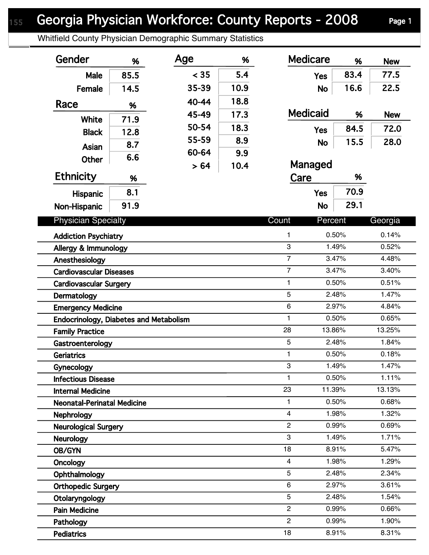## Georgia Physician Workforce: County Reports - 2008 Page 1

Whitfield County Physician Demographic Summary Statistics

| Gender                                        | %    | Age   | %    | <b>Medicare</b>  | %      | <b>New</b> |
|-----------------------------------------------|------|-------|------|------------------|--------|------------|
| Male                                          | 85.5 | < 35  | 5.4  | <b>Yes</b>       | 83.4   | 77.5       |
| Female                                        | 14.5 | 35-39 | 10.9 | <b>No</b>        | 16.6   | 22.5       |
| Race                                          |      | 40-44 | 18.8 |                  |        |            |
|                                               | %    | 45-49 | 17.3 | <b>Medicaid</b>  | %      | <b>New</b> |
| White                                         | 71.9 | 50-54 | 18.3 |                  | 84.5   | 72.0       |
| <b>Black</b>                                  | 12.8 | 55-59 | 8.9  | <b>Yes</b>       |        |            |
| Asian                                         | 8.7  | 60-64 | 9.9  | <b>No</b>        | 15.5   | 28.0       |
| <b>Other</b>                                  | 6.6  |       |      | Managed          |        |            |
| <b>Ethnicity</b>                              | %    | > 64  | 10.4 | Care             | %      |            |
|                                               | 8.1  |       |      | <b>Yes</b>       | 70.9   |            |
| <b>Hispanic</b>                               |      |       |      |                  | 29.1   |            |
| Non-Hispanic                                  | 91.9 |       |      | <b>No</b>        |        |            |
| <b>Physician Specialty</b>                    |      |       |      | Count<br>Percent |        | Georgia    |
| <b>Addiction Psychiatry</b>                   |      |       |      | 1                | 0.50%  | 0.14%      |
| Allergy & Immunology                          |      |       |      | 3                | 1.49%  | 0.52%      |
| Anesthesiology                                |      |       |      | $\overline{7}$   | 3.47%  | 4.48%      |
| <b>Cardiovascular Diseases</b>                |      |       |      | $\overline{7}$   | 3.47%  | 3.40%      |
| <b>Cardiovascular Surgery</b>                 |      |       |      | 1                | 0.50%  | 0.51%      |
| Dermatology                                   |      |       |      | 5                | 2.48%  | 1.47%      |
| <b>Emergency Medicine</b>                     |      |       |      | 6                | 2.97%  | 4.84%      |
| <b>Endocrinology, Diabetes and Metabolism</b> |      |       |      | 1                | 0.50%  | 0.65%      |
| <b>Family Practice</b>                        |      |       |      | 28               | 13.86% | 13.25%     |
| Gastroenterology                              |      |       |      | 5                | 2.48%  | 1.84%      |
| <b>Geriatrics</b>                             |      |       |      | 1                | 0.50%  | 0.18%      |
| Gynecology                                    |      |       |      | 3                | 1.49%  | 1.47%      |
| <b>Infectious Disease</b>                     |      |       |      | 1                | 0.50%  | 1.11%      |
| <b>Internal Medicine</b>                      |      |       |      | 23               | 11.39% | 13.13%     |
| <b>Neonatal-Perinatal Medicine</b>            |      |       |      | 1                | 0.50%  | 0.68%      |
| <b>Nephrology</b>                             |      |       |      | $\overline{4}$   | 1.98%  | 1.32%      |
| <b>Neurological Surgery</b>                   |      |       |      | $\overline{2}$   | 0.99%  | 0.69%      |
| <b>Neurology</b>                              |      |       |      | 3                | 1.49%  | 1.71%      |
| OB/GYN                                        |      |       |      | 18               | 8.91%  | 5.47%      |
| Oncology                                      |      |       |      | 4                | 1.98%  | 1.29%      |
| Ophthalmology                                 |      |       |      | 5                | 2.48%  | 2.34%      |
| <b>Orthopedic Surgery</b>                     |      |       |      | $\,6\,$          | 2.97%  | 3.61%      |
| Otolaryngology                                |      |       |      | 5                | 2.48%  | 1.54%      |
| <b>Pain Medicine</b>                          |      |       |      | $\overline{2}$   | 0.99%  | 0.66%      |
| Pathology                                     |      |       |      | $\overline{c}$   | 0.99%  | 1.90%      |
| <b>Pediatrics</b>                             |      |       |      | 18               | 8.91%  | 8.31%      |